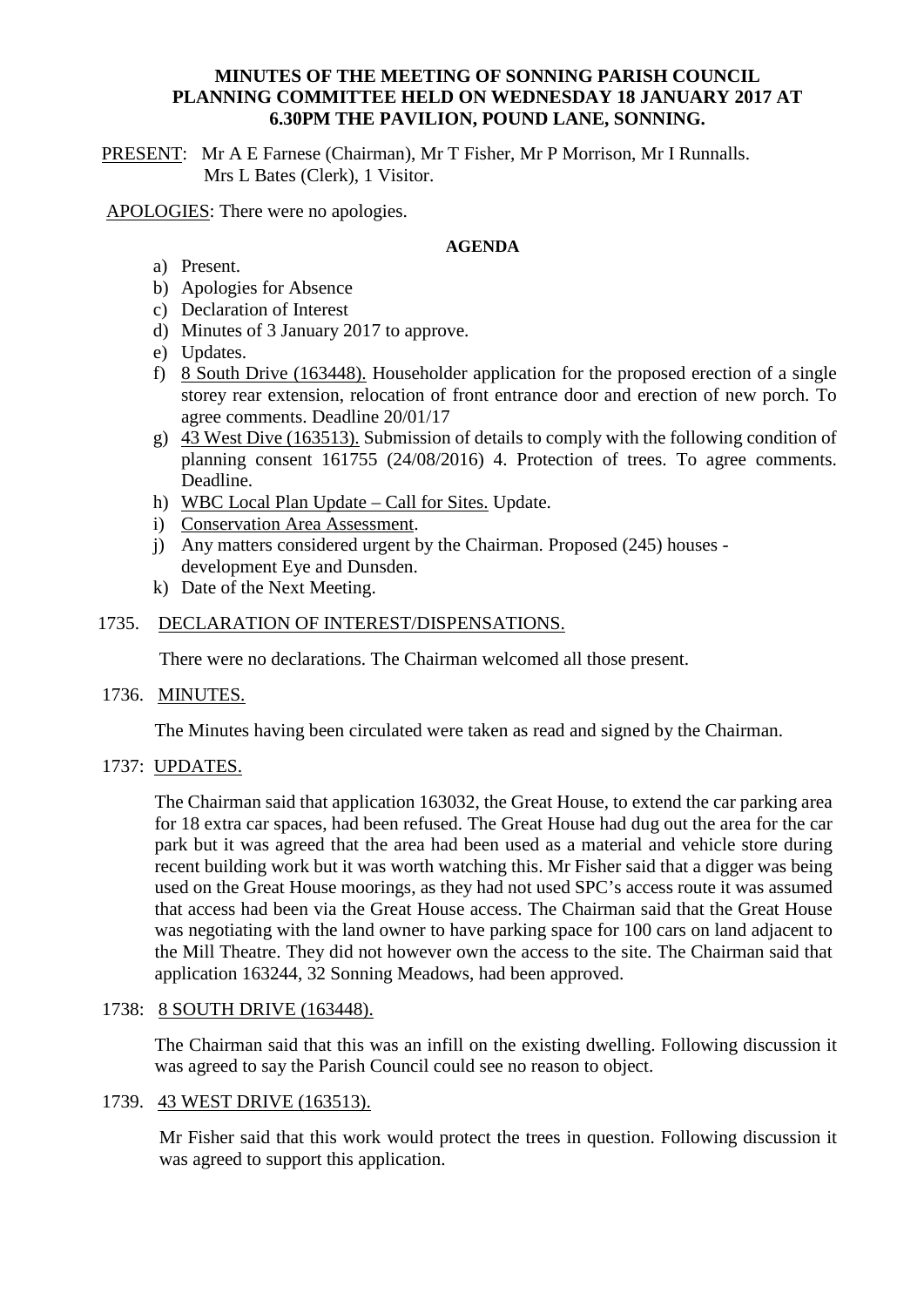### **MINUTES OF THE MEETING OF SONNING PARISH COUNCIL PLANNING COMMITTEE HELD ON WEDNESDAY 18 JANUARY 2017 AT 6.30PM THE PAVILION, POUND LANE, SONNING.**

PRESENT: Mr A E Farnese (Chairman), Mr T Fisher, Mr P Morrison, Mr I Runnalls. Mrs L Bates (Clerk), 1 Visitor.

APOLOGIES: There were no apologies.

#### **AGENDA**

- a) Present.
- b) Apologies for Absence
- c) Declaration of Interest
- d) Minutes of 3 January 2017 to approve.
- e) Updates.
- f) 8 South Drive (163448). Householder application for the proposed erection of a single storey rear extension, relocation of front entrance door and erection of new porch. To agree comments. Deadline 20/01/17
- g) 43 West Dive (163513). Submission of details to comply with the following condition of planning consent 161755 (24/08/2016) 4. Protection of trees. To agree comments. Deadline.
- h) WBC Local Plan Update Call for Sites. Update.
- i) Conservation Area Assessment.
- j) Any matters considered urgent by the Chairman. Proposed (245) houses development Eye and Dunsden.
- k) Date of the Next Meeting.

# 1735. DECLARATION OF INTEREST/DISPENSATIONS.

There were no declarations. The Chairman welcomed all those present.

#### 1736. MINUTES.

The Minutes having been circulated were taken as read and signed by the Chairman.

#### 1737: UPDATES.

The Chairman said that application 163032, the Great House, to extend the car parking area for 18 extra car spaces, had been refused. The Great House had dug out the area for the car park but it was agreed that the area had been used as a material and vehicle store during recent building work but it was worth watching this. Mr Fisher said that a digger was being used on the Great House moorings, as they had not used SPC's access route it was assumed that access had been via the Great House access. The Chairman said that the Great House was negotiating with the land owner to have parking space for 100 cars on land adjacent to the Mill Theatre. They did not however own the access to the site. The Chairman said that application 163244, 32 Sonning Meadows, had been approved.

#### 1738: 8 SOUTH DRIVE (163448).

The Chairman said that this was an infill on the existing dwelling. Following discussion it was agreed to say the Parish Council could see no reason to object.

#### 1739. 43 WEST DRIVE (163513).

Mr Fisher said that this work would protect the trees in question. Following discussion it was agreed to support this application.